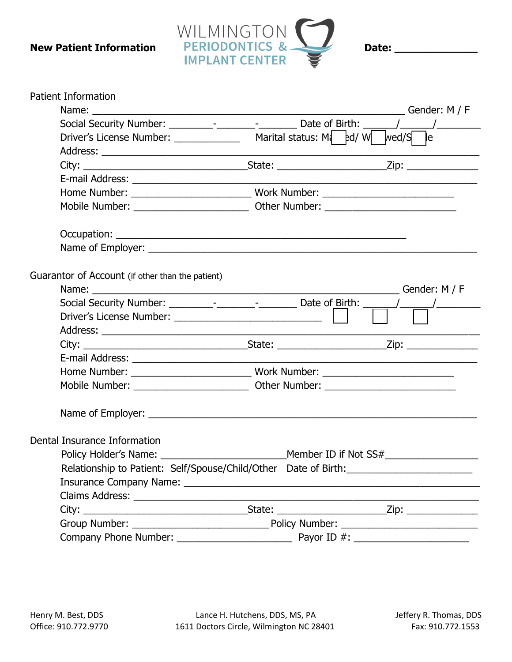

| Gender: M / F<br>Social Security Number: _________-________________________ Date of Birth: ______<br>$\frac{1}{2}$ $\frac{1}{2}$ $\frac{1}{2}$ $\frac{1}{2}$ $\frac{1}{2}$ $\frac{1}{2}$ $\frac{1}{2}$ $\frac{1}{2}$ $\frac{1}{2}$ $\frac{1}{2}$ $\frac{1}{2}$ $\frac{1}{2}$ $\frac{1}{2}$ $\frac{1}{2}$ $\frac{1}{2}$ $\frac{1}{2}$ $\frac{1}{2}$ $\frac{1}{2}$ $\frac{1}{2}$ $\frac{1}{2}$ $\frac{1}{2}$ $\frac{1}{2}$<br>le<br>Guarantor of Account (if other than the patient)<br>Gender: M / F<br>Social Security Number: _________-_________________________ Date of Birth: _______/_________________<br>Member ID if Not SS#<br>Relationship to Patient: Self/Spouse/Child/Other Date of Birth: _________________ | <b>Patient Information</b>   |  |
|--------------------------------------------------------------------------------------------------------------------------------------------------------------------------------------------------------------------------------------------------------------------------------------------------------------------------------------------------------------------------------------------------------------------------------------------------------------------------------------------------------------------------------------------------------------------------------------------------------------------------------------------------------------------------------------------------------------------------|------------------------------|--|
|                                                                                                                                                                                                                                                                                                                                                                                                                                                                                                                                                                                                                                                                                                                          |                              |  |
|                                                                                                                                                                                                                                                                                                                                                                                                                                                                                                                                                                                                                                                                                                                          |                              |  |
|                                                                                                                                                                                                                                                                                                                                                                                                                                                                                                                                                                                                                                                                                                                          |                              |  |
|                                                                                                                                                                                                                                                                                                                                                                                                                                                                                                                                                                                                                                                                                                                          |                              |  |
|                                                                                                                                                                                                                                                                                                                                                                                                                                                                                                                                                                                                                                                                                                                          |                              |  |
|                                                                                                                                                                                                                                                                                                                                                                                                                                                                                                                                                                                                                                                                                                                          |                              |  |
|                                                                                                                                                                                                                                                                                                                                                                                                                                                                                                                                                                                                                                                                                                                          |                              |  |
|                                                                                                                                                                                                                                                                                                                                                                                                                                                                                                                                                                                                                                                                                                                          |                              |  |
|                                                                                                                                                                                                                                                                                                                                                                                                                                                                                                                                                                                                                                                                                                                          |                              |  |
|                                                                                                                                                                                                                                                                                                                                                                                                                                                                                                                                                                                                                                                                                                                          |                              |  |
|                                                                                                                                                                                                                                                                                                                                                                                                                                                                                                                                                                                                                                                                                                                          |                              |  |
|                                                                                                                                                                                                                                                                                                                                                                                                                                                                                                                                                                                                                                                                                                                          |                              |  |
|                                                                                                                                                                                                                                                                                                                                                                                                                                                                                                                                                                                                                                                                                                                          |                              |  |
|                                                                                                                                                                                                                                                                                                                                                                                                                                                                                                                                                                                                                                                                                                                          |                              |  |
|                                                                                                                                                                                                                                                                                                                                                                                                                                                                                                                                                                                                                                                                                                                          |                              |  |
|                                                                                                                                                                                                                                                                                                                                                                                                                                                                                                                                                                                                                                                                                                                          |                              |  |
|                                                                                                                                                                                                                                                                                                                                                                                                                                                                                                                                                                                                                                                                                                                          |                              |  |
|                                                                                                                                                                                                                                                                                                                                                                                                                                                                                                                                                                                                                                                                                                                          |                              |  |
|                                                                                                                                                                                                                                                                                                                                                                                                                                                                                                                                                                                                                                                                                                                          |                              |  |
|                                                                                                                                                                                                                                                                                                                                                                                                                                                                                                                                                                                                                                                                                                                          |                              |  |
|                                                                                                                                                                                                                                                                                                                                                                                                                                                                                                                                                                                                                                                                                                                          | Dental Insurance Information |  |
|                                                                                                                                                                                                                                                                                                                                                                                                                                                                                                                                                                                                                                                                                                                          |                              |  |
|                                                                                                                                                                                                                                                                                                                                                                                                                                                                                                                                                                                                                                                                                                                          |                              |  |
|                                                                                                                                                                                                                                                                                                                                                                                                                                                                                                                                                                                                                                                                                                                          |                              |  |
|                                                                                                                                                                                                                                                                                                                                                                                                                                                                                                                                                                                                                                                                                                                          |                              |  |
|                                                                                                                                                                                                                                                                                                                                                                                                                                                                                                                                                                                                                                                                                                                          |                              |  |
|                                                                                                                                                                                                                                                                                                                                                                                                                                                                                                                                                                                                                                                                                                                          |                              |  |
|                                                                                                                                                                                                                                                                                                                                                                                                                                                                                                                                                                                                                                                                                                                          |                              |  |